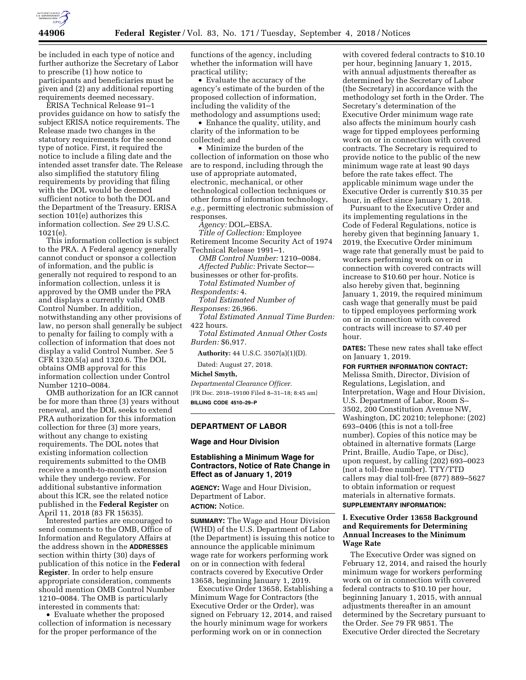

be included in each type of notice and further authorize the Secretary of Labor to prescribe (1) how notice to participants and beneficiaries must be given and (2) any additional reporting requirements deemed necessary.

ERISA Technical Release 91–1 provides guidance on how to satisfy the subject ERISA notice requirements. The Release made two changes in the statutory requirements for the second type of notice. First, it required the notice to include a filing date and the intended asset transfer date. The Release also simplified the statutory filing requirements by providing that filing with the DOL would be deemed sufficient notice to both the DOL and the Department of the Treasury. ERISA section 101(e) authorizes this information collection. *See* 29 U.S.C. 1021(e).

This information collection is subject to the PRA. A Federal agency generally cannot conduct or sponsor a collection of information, and the public is generally not required to respond to an information collection, unless it is approved by the OMB under the PRA and displays a currently valid OMB Control Number. In addition, notwithstanding any other provisions of law, no person shall generally be subject to penalty for failing to comply with a collection of information that does not display a valid Control Number. *See* 5 CFR 1320.5(a) and 1320.6. The DOL obtains OMB approval for this information collection under Control Number 1210–0084.

OMB authorization for an ICR cannot be for more than three (3) years without renewal, and the DOL seeks to extend PRA authorization for this information collection for three (3) more years, without any change to existing requirements. The DOL notes that existing information collection requirements submitted to the OMB receive a month-to-month extension while they undergo review. For additional substantive information about this ICR, see the related notice published in the **Federal Register** on April 11, 2018 (83 FR 15635).

Interested parties are encouraged to send comments to the OMB, Office of Information and Regulatory Affairs at the address shown in the **ADDRESSES** section within thirty (30) days of publication of this notice in the **Federal Register**. In order to help ensure appropriate consideration, comments should mention OMB Control Number 1210–0084. The OMB is particularly interested in comments that:

• Evaluate whether the proposed collection of information is necessary for the proper performance of the

functions of the agency, including whether the information will have practical utility;

• Evaluate the accuracy of the agency's estimate of the burden of the proposed collection of information, including the validity of the methodology and assumptions used;

• Enhance the quality, utility, and clarity of the information to be collected; and

• Minimize the burden of the collection of information on those who are to respond, including through the use of appropriate automated, electronic, mechanical, or other technological collection techniques or other forms of information technology, *e.g.,* permitting electronic submission of responses.

*Agency:* DOL–EBSA. *Title of Collection:* Employee Retirement Income Security Act of 1974 Technical Release 1991–1.

*OMB Control Number:* 1210–0084. *Affected Public:* Private Sector—

businesses or other for-profits. *Total Estimated Number of* 

*Respondents:* 4.

*Total Estimated Number of Responses:* 26,966.

*Total Estimated Annual Time Burden:*  422 hours.

*Total Estimated Annual Other Costs Burden:* \$6,917.

**Authority:** 44 U.S.C. 3507(a)(1)(D).

Dated: August 27, 2018.

**Michel Smyth,** 

*Departmental Clearance Officer.*  [FR Doc. 2018–19100 Filed 8–31–18; 8:45 am]

**BILLING CODE 4510–29–P** 

### **DEPARTMENT OF LABOR**

**Wage and Hour Division** 

# **Establishing a Minimum Wage for Contractors, Notice of Rate Change in Effect as of January 1, 2019**

**AGENCY:** Wage and Hour Division, Department of Labor. **ACTION:** Notice.

**SUMMARY:** The Wage and Hour Division (WHD) of the U.S. Department of Labor (the Department) is issuing this notice to announce the applicable minimum wage rate for workers performing work on or in connection with federal contracts covered by Executive Order 13658, beginning January 1, 2019.

Executive Order 13658, Establishing a Minimum Wage for Contractors (the Executive Order or the Order), was signed on February 12, 2014, and raised the hourly minimum wage for workers performing work on or in connection

with covered federal contracts to \$10.10 per hour, beginning January 1, 2015, with annual adjustments thereafter as determined by the Secretary of Labor (the Secretary) in accordance with the methodology set forth in the Order. The Secretary's determination of the Executive Order minimum wage rate also affects the minimum hourly cash wage for tipped employees performing work on or in connection with covered contracts. The Secretary is required to provide notice to the public of the new minimum wage rate at least 90 days before the rate takes effect. The applicable minimum wage under the Executive Order is currently \$10.35 per hour, in effect since January 1, 2018.

Pursuant to the Executive Order and its implementing regulations in the Code of Federal Regulations, notice is hereby given that beginning January 1, 2019, the Executive Order minimum wage rate that generally must be paid to workers performing work on or in connection with covered contracts will increase to \$10.60 per hour. Notice is also hereby given that, beginning January 1, 2019, the required minimum cash wage that generally must be paid to tipped employees performing work on or in connection with covered contracts will increase to \$7.40 per hour.

**DATES:** These new rates shall take effect on January 1, 2019.

**FOR FURTHER INFORMATION CONTACT:** 

Melissa Smith, Director, Division of Regulations, Legislation, and Interpretation, Wage and Hour Division, U.S. Department of Labor, Room S– 3502, 200 Constitution Avenue NW, Washington, DC 20210; telephone: (202) 693–0406 (this is not a toll-free number). Copies of this notice may be obtained in alternative formats (Large Print, Braille, Audio Tape, or Disc), upon request, by calling (202) 693–0023 (not a toll-free number). TTY/TTD callers may dial toll-free (877) 889–5627 to obtain information or request materials in alternative formats.

# **SUPPLEMENTARY INFORMATION:**

# **I. Executive Order 13658 Background and Requirements for Determining Annual Increases to the Minimum Wage Rate**

The Executive Order was signed on February 12, 2014, and raised the hourly minimum wage for workers performing work on or in connection with covered federal contracts to \$10.10 per hour, beginning January 1, 2015, with annual adjustments thereafter in an amount determined by the Secretary pursuant to the Order. *See* 79 FR 9851. The Executive Order directed the Secretary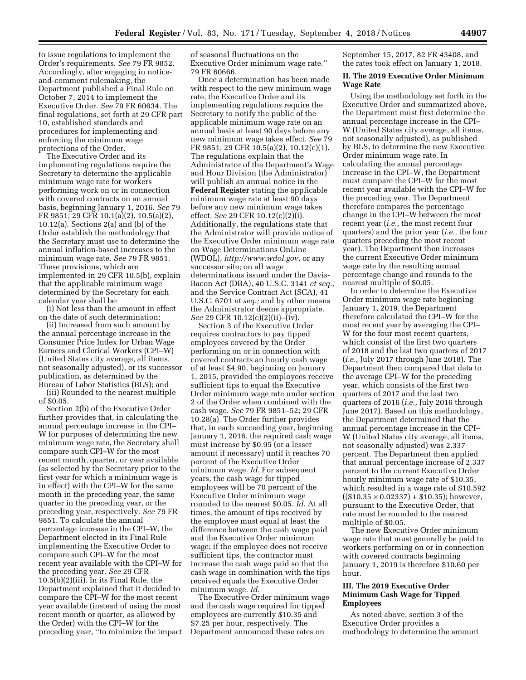to issue regulations to implement the Order's requirements. *See* 79 FR 9852. Accordingly, after engaging in noticeand-comment rulemaking, the Department published a Final Rule on October 7, 2014 to implement the Executive Order. *See* 79 FR 60634. The final regulations, set forth at 29 CFR part 10, established standards and procedures for implementing and enforcing the minimum wage protections of the Order.

The Executive Order and its implementing regulations require the Secretary to determine the applicable minimum wage rate for workers performing work on or in connection with covered contracts on an annual basis, beginning January 1, 2016. *See* 79 FR 9851; 29 CFR 10.1(a)(2), 10.5(a)(2), 10.12(a). Sections 2(a) and (b) of the Order establish the methodology that the Secretary must use to determine the annual inflation-based increases to the minimum wage rate. *See* 79 FR 9851. These provisions, which are implemented in 29 CFR 10.5(b), explain that the applicable minimum wage determined by the Secretary for each calendar year shall be:

(i) Not less than the amount in effect on the date of such determination;

(ii) Increased from such amount by the annual percentage increase in the Consumer Price Index for Urban Wage Earners and Clerical Workers (CPI–W) (United States city average, all items, not seasonally adjusted), or its successor publication, as determined by the Bureau of Labor Statistics (BLS); and

(iii) Rounded to the nearest multiple of \$0.05.

Section 2(b) of the Executive Order further provides that, in calculating the annual percentage increase in the CPI– W for purposes of determining the new minimum wage rate, the Secretary shall compare such CPI–W for the most recent month, quarter, or year available (as selected by the Secretary prior to the first year for which a minimum wage is in effect) with the CPI–W for the same month in the preceding year, the same quarter in the preceding year, or the preceding year, respectively. *See* 79 FR 9851. To calculate the annual percentage increase in the CPI–W, the Department elected in its Final Rule implementing the Executive Order to compare such CPI–W for the most recent year available with the CPI–W for the preceding year. *See* 29 CFR 10.5(b)(2)(iii). In its Final Rule, the Department explained that it decided to compare the CPI–W for the most recent year available (instead of using the most recent month or quarter, as allowed by the Order) with the CPI–W for the preceding year, ''to minimize the impact of seasonal fluctuations on the Executive Order minimum wage rate.'' 79 FR 60666.

Once a determination has been made with respect to the new minimum wage rate, the Executive Order and its implementing regulations require the Secretary to notify the public of the applicable minimum wage rate on an annual basis at least 90 days before any new minimum wage takes effect. *See* 79 FR 9851; 29 CFR 10.5(a)(2), 10.12(c)(1). The regulations explain that the Administrator of the Department's Wage and Hour Division (the Administrator) will publish an annual notice in the **Federal Register** stating the applicable minimum wage rate at least 90 days before any new minimum wage takes effect. *See* 29 CFR 10.12(c)(2)(i). Additionally, the regulations state that the Administrator will provide notice of the Executive Order minimum wage rate on Wage Determinations OnLine (WDOL), *[http://www.wdol.gov,](http://www.wdol.gov)* or any successor site; on all wage determinations issued under the Davis-Bacon Act (DBA), 40 U.S.C. 3141 *et seq.,*  and the Service Contract Act (SCA), 41 U.S.C. 6701 *et seq.;* and by other means the Administrator deems appropriate. *See* 29 CFR 10.12(c)(2)(ii)–(iv).

Section 3 of the Executive Order requires contractors to pay tipped employees covered by the Order performing on or in connection with covered contracts an hourly cash wage of at least \$4.90, beginning on January 1, 2015, provided the employees receive sufficient tips to equal the Executive Order minimum wage rate under section 2 of the Order when combined with the cash wage. *See* 79 FR 9851–52; 29 CFR 10.28(a). The Order further provides that, in each succeeding year, beginning January 1, 2016, the required cash wage must increase by \$0.95 (or a lesser amount if necessary) until it reaches 70 percent of the Executive Order minimum wage. *Id.* For subsequent years, the cash wage for tipped employees will be 70 percent of the Executive Order minimum wage rounded to the nearest \$0.05. *Id.* At all times, the amount of tips received by the employee must equal at least the difference between the cash wage paid and the Executive Order minimum wage; if the employee does not receive sufficient tips, the contractor must increase the cash wage paid so that the cash wage in combination with the tips received equals the Executive Order minimum wage. *Id.* 

The Executive Order minimum wage and the cash wage required for tipped employees are currently \$10.35 and \$7.25 per hour, respectively. The Department announced these rates on

September 15, 2017, 82 FR 43408, and the rates took effect on January 1, 2018.

### **II. The 2019 Executive Order Minimum Wage Rate**

Using the methodology set forth in the Executive Order and summarized above, the Department must first determine the annual percentage increase in the CPI– W (United States city average, all items, not seasonally adjusted), as published by BLS, to determine the new Executive Order minimum wage rate. In calculating the annual percentage increase in the CPI–W, the Department must compare the CPI–W for the most recent year available with the CPI–W for the preceding year. The Department therefore compares the percentage change in the CPI–W between the most recent year (*i.e.,* the most recent four quarters) and the prior year (*i.e.,* the four quarters preceding the most recent year). The Department then increases the current Executive Order minimum wage rate by the resulting annual percentage change and rounds to the nearest multiple of \$0.05.

In order to determine the Executive Order minimum wage rate beginning January 1, 2019, the Department therefore calculated the CPI–W for the most recent year by averaging the CPI– W for the four most recent quarters, which consist of the first two quarters of 2018 and the last two quarters of 2017 (*i.e.,* July 2017 through June 2018). The Department then compared that data to the average CPI–W for the preceding year, which consists of the first two quarters of 2017 and the last two quarters of 2016 (*i.e.,* July 2016 through June 2017). Based on this methodology, the Department determined that the annual percentage increase in the CPI– W (United States city average, all items, not seasonally adjusted) was 2.337 percent. The Department then applied that annual percentage increase of 2.337 percent to the current Executive Order hourly minimum wage rate of \$10.35, which resulted in a wage rate of \$10.592  $((\$10.35 \times 0.02337) + \$10.35)$ ; however, pursuant to the Executive Order, that rate must be rounded to the nearest multiple of \$0.05.

The new Executive Order minimum wage rate that must generally be paid to workers performing on or in connection with covered contracts beginning January 1, 2019 is therefore \$10.60 per hour.

## **III. The 2019 Executive Order Minimum Cash Wage for Tipped Employees**

As noted above, section 3 of the Executive Order provides a methodology to determine the amount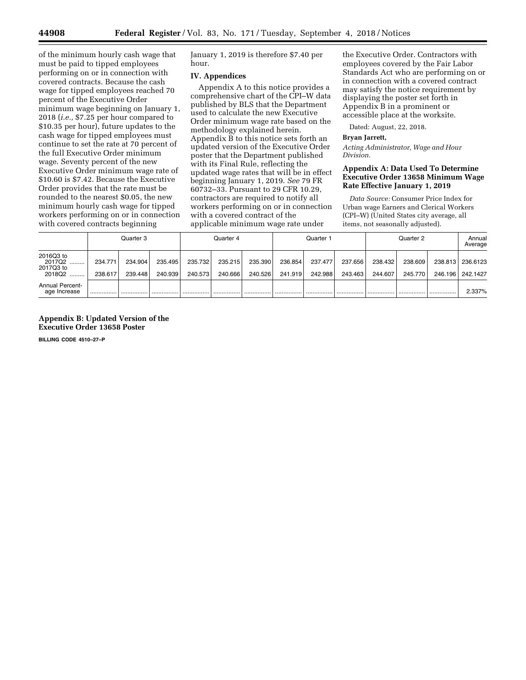of the minimum hourly cash wage that must be paid to tipped employees performing on or in connection with covered contracts. Because the cash wage for tipped employees reached 70 percent of the Executive Order minimum wage beginning on January 1, 2018 (*i.e.,* \$7.25 per hour compared to \$10.35 per hour), future updates to the cash wage for tipped employees must continue to set the rate at 70 percent of the full Executive Order minimum wage. Seventy percent of the new Executive Order minimum wage rate of \$10.60 is \$7.42. Because the Executive Order provides that the rate must be rounded to the nearest \$0.05, the new minimum hourly cash wage for tipped workers performing on or in connection with covered contracts beginning

January 1, 2019 is therefore \$7.40 per hour.

### **IV. Appendices**

Appendix A to this notice provides a comprehensive chart of the CPI–W data published by BLS that the Department used to calculate the new Executive Order minimum wage rate based on the methodology explained herein. Appendix B to this notice sets forth an updated version of the Executive Order poster that the Department published with its Final Rule, reflecting the updated wage rates that will be in effect beginning January 1, 2019. *See* 79 FR 60732–33. Pursuant to 29 CFR 10.29, contractors are required to notify all workers performing on or in connection with a covered contract of the applicable minimum wage rate under

the Executive Order. Contractors with employees covered by the Fair Labor Standards Act who are performing on or in connection with a covered contract may satisfy the notice requirement by displaying the poster set forth in Appendix B in a prominent or accessible place at the worksite.

Dated: August, 22, 2018.

#### **Bryan Jarrett,**

*Acting Administrator, Wage and Hour Division.* 

# **Appendix A: Data Used To Determine Executive Order 13658 Minimum Wage Rate Effective January 1, 2019**

*Data Source:* Consumer Price Index for Urban wage Earners and Clerical Workers (CPI–W) (United States city average, all items, not seasonally adjusted).

|                                            | Quarter 3          |                    |                    | Quarter 4          |                    |                    | Quarter 1          |                    |                    | Quarter 2          |                    |                    | Annual<br>Average    |
|--------------------------------------------|--------------------|--------------------|--------------------|--------------------|--------------------|--------------------|--------------------|--------------------|--------------------|--------------------|--------------------|--------------------|----------------------|
| 2016Q3 to<br>2017Q2<br>2017Q3 to<br>2018Q2 | 234.771<br>238.617 | 234.904<br>239.448 | 235.495<br>240.939 | 235.732<br>240.573 | 235.215<br>240.666 | 235.390<br>240.526 | 236.854<br>241.919 | 237.477<br>242.988 | 237.656<br>243.463 | 238.432<br>244.607 | 238.609<br>245.770 | 238.813<br>246.196 | 236.6123<br>242.1427 |
| <b>Annual Percent-</b><br>age Increase     |                    |                    |                    |                    | .                  |                    |                    |                    |                    |                    |                    |                    | 2.337%               |

## **Appendix B: Updated Version of the Executive Order 13658 Poster**

**BILLING CODE 4510–27–P**